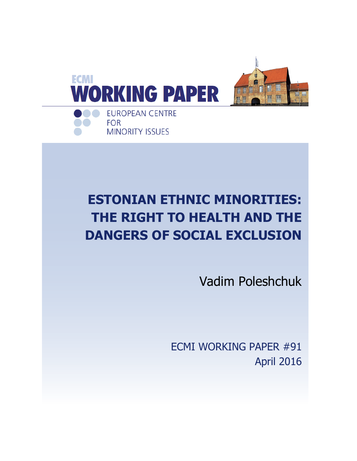

# **ESTONIAN ETHNIC MINORITIES: THE RIGHT TO HEALTH AND THE DANGERS OF SOCIAL EXCLUSION**

Vadim Poleshchuk

ECMI WORKING PAPER #91 April 2016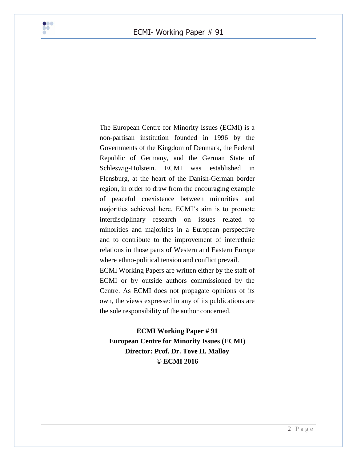

The European Centre for Minority Issues (ECMI) is a non-partisan institution founded in 1996 by the Governments of the Kingdom of Denmark, the Federal Republic of Germany, and the German State of Schleswig-Holstein. ECMI was established in Flensburg, at the heart of the Danish-German border region, in order to draw from the encouraging example of peaceful coexistence between minorities and majorities achieved here. ECMI's aim is to promote interdisciplinary research on issues related to minorities and majorities in a European perspective and to contribute to the improvement of interethnic relations in those parts of Western and Eastern Europe where ethno-political tension and conflict prevail.

ECMI Working Papers are written either by the staff of ECMI or by outside authors commissioned by the Centre. As ECMI does not propagate opinions of its own, the views expressed in any of its publications are the sole responsibility of the author concerned.

**ECMI Working Paper # 91 European Centre for Minority Issues (ECMI) Director: Prof. Dr. Tove H. Malloy © ECMI 2016**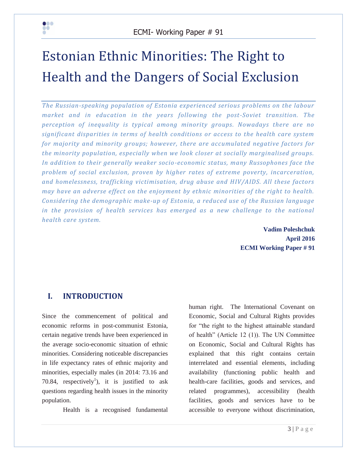

# Estonian Ethnic Minorities: The Right to Health and the Dangers of Social Exclusion

*The Russian-speaking population of Estonia experienced serious problems on the labour market and in education in the years following the post-Soviet transition. The perception of inequality is typical among minority groups. Nowadays there are no significant disparities in terms of health conditions or access to the health care system for majority and minority groups; however, there are accumulated negative factors for the minority population, especially when we look closer at socially marginalised groups. In addition to their generally weaker socio-economic status, many Russophones face the problem of social exclusion, proven by higher rates of extreme poverty, incarceration, and homelessness, trafficking victimisation, drug abuse and HIV/AIDS. All these factors may have an adverse effect on the enjoyment by ethnic minorities of the right to health. Considering the demographic make-up of Estonia, a reduced use of the Russian language*  in the provision of health services has emerged as a new challenge to the national *health care system.* 

 **Vadim Poleshchuk April 2016 ECMI Working Paper # 91**

# **I. INTRODUCTION**

Since the commencement of political and economic reforms in post-communist Estonia, certain negative trends have been experienced in the average socio-economic situation of ethnic minorities. Considering noticeable discrepancies in life expectancy rates of ethnic majority and minorities, especially males (in 2014: 73.16 and 70.84, respectively<sup>1</sup>), it is justified to ask questions regarding health issues in the minority population.

Health is a recognised fundamental

human right. The International Covenant on Economic, Social and Cultural Rights provides for "the right to the highest attainable standard of health" (Article 12 (1)). The UN Committee on Economic, Social and Cultural Rights has explained that this right contains certain interrelated and essential elements, including availability (functioning public health and health-care facilities, goods and services, and related programmes), accessibility (health facilities, goods and services have to be accessible to everyone without discrimination,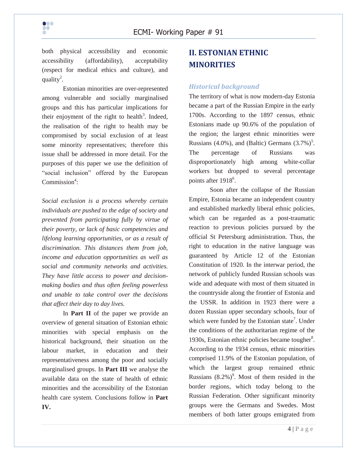

both physical accessibility and economic accessibility (affordability), acceptability (respect for medical ethics and culture), and quality<sup>2</sup>.

Estonian minorities are over-represented among vulnerable and socially marginalised groups and this has particular implications for their enjoyment of the right to health<sup>3</sup>. Indeed, the realisation of the right to health may be compromised by social exclusion of at least some minority representatives; therefore this issue shall be addressed in more detail. For the purposes of this paper we use the definition of "social inclusion" offered by the European  $Commission<sup>4</sup>$ :

*Social exclusion is a process whereby certain individuals are pushed to the edge of society and prevented from participating fully by virtue of their poverty, or lack of basic competencies and lifelong learning opportunities, or as a result of discrimination. This distances them from job, income and education opportunities as well as social and community networks and activities. They have little access to power and decisionmaking bodies and thus often feeling powerless and unable to take control over the decisions that affect their day to day lives.*

In **Part II** of the paper we provide an overview of general situation of Estonian ethnic minorities with special emphasis on the historical background, their situation on the labour market, in education and their representativeness among the poor and socially marginalised groups. In **Part III** we analyse the available data on the state of health of ethnic minorities and the accessibility of the Estonian health care system. Conclusions follow in **Part IV.**

# **II. ESTONIAN ETHNIC MINORITIES**

#### *Historical background*

The territory of what is now modern-day Estonia became a part of the Russian Empire in the early 1700s. According to the 1897 census, ethnic Estonians made up 90.6% of the population of the region; the largest ethnic minorities were Russians (4.0%), and (Baltic) Germans  $(3.7\%)^5$ . The percentage of Russians was disproportionately high among white-collar workers but dropped to several percentage points after 1918<sup>6</sup>.

Soon after the collapse of the Russian Empire, Estonia became an independent country and established markedly liberal ethnic policies, which can be regarded as a post-traumatic reaction to previous policies pursued by the official St Petersburg administration. Thus, the right to education in the native language was guaranteed by Article 12 of the Estonian Constitution of 1920. In the interwar period, the network of publicly funded Russian schools was wide and adequate with most of them situated in the countryside along the frontier of Estonia and the USSR. In addition in 1923 there were a dozen Russian upper secondary schools, four of which were funded by the Estonian state<sup>7</sup>. Under the conditions of the authoritarian regime of the 1930s, Estonian ethnic policies became tougher<sup>8</sup>. According to the 1934 census, ethnic minorities comprised 11.9% of the Estonian population, of which the largest group remained ethnic Russians  $(8.2\%)^9$ . Most of them resided in the border regions, which today belong to the Russian Federation. Other significant minority groups were the Germans and Swedes. Most members of both latter groups emigrated from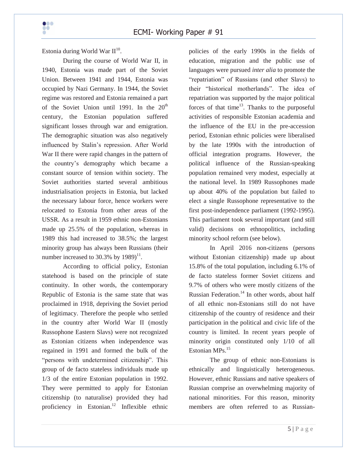Estonia during World War  $\mathbf{II}^{10}$ .

During the course of World War II, in 1940, Estonia was made part of the Soviet Union. Between 1941 and 1944, Estonia was occupied by Nazi Germany. In 1944, the Soviet regime was restored and Estonia remained a part of the Soviet Union until 1991. In the  $20<sup>th</sup>$ century, the Estonian population suffered significant losses through war and emigration. The demographic situation was also negatively influenced by Stalin's repression. After World War II there were rapid changes in the pattern of the country's demography which became a constant source of tension within society. The Soviet authorities started several ambitious industrialisation projects in Estonia, but lacked the necessary labour force, hence workers were relocated to Estonia from other areas of the USSR. As a result in 1959 ethnic non-Estonians made up 25.5% of the population, whereas in 1989 this had increased to 38.5%; the largest minority group has always been Russians (their number increased to 30.3% by  $1989$ <sup>11</sup>.

According to official policy, Estonian statehood is based on the principle of state continuity. In other words, the contemporary Republic of Estonia is the same state that was proclaimed in 1918, depriving the Soviet period of legitimacy. Therefore the people who settled in the country after World War II (mostly Russophone Eastern Slavs) were not recognized as Estonian citizens when independence was regained in 1991 and formed the bulk of the "persons with undetermined citizenship". This group of de facto stateless individuals made up 1/3 of the entire Estonian population in 1992. They were permitted to apply for Estonian citizenship (to naturalise) provided they had proficiency in Estonian. <sup>12</sup> Inflexible ethnic

policies of the early 1990s in the fields of education, migration and the public use of languages were pursued *inter alia* to promote the "repatriation" of Russians (and other Slavs) to their "historical motherlands". The idea of repatriation was supported by the major political forces of that time<sup>13</sup>. Thanks to the purposeful activities of responsible Estonian academia and the influence of the EU in the pre-accession period, Estonian ethnic policies were liberalised by the late 1990s with the introduction of official integration programs. However, the political influence of the Russian-speaking population remained very modest, especially at the national level. In 1989 Russophones made up about 40% of the population but failed to elect a single Russophone representative to the first post-independence parliament (1992-1995). This parliament took several important (and still valid) decisions on ethnopolitics, including minority school reform (see below).

In April 2016 non-citizens (persons without Estonian citizenship) made up about 15.8% of the total population, including 6.1% of de facto stateless former Soviet citizens and 9.7% of others who were mostly citizens of the Russian Federation. $^{14}$  In other words, about half of all ethnic non-Estonians still do not have citizenship of the country of residence and their participation in the political and civic life of the country is limited. In recent years people of minority origin constituted only 1/10 of all Estonian MPs.<sup>15</sup>

The group of ethnic non-Estonians is ethnically and linguistically heterogeneous. However, ethnic Russians and native speakers of Russian comprise an overwhelming majority of national minorities. For this reason, minority members are often referred to as Russian-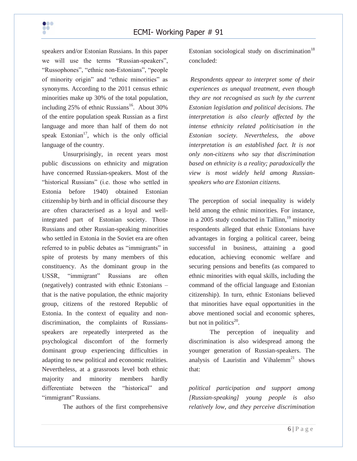

speakers and/or Estonian Russians. In this paper we will use the terms "Russian-speakers", "Russophones", "ethnic non-Estonians", "people of minority origin" and "ethnic minorities" as synonyms. According to the 2011 census ethnic minorities make up 30% of the total population, including  $25\%$  of ethnic Russians<sup>16</sup>. About 30% of the entire population speak Russian as a first language and more than half of them do not speak Estonian<sup>17</sup>, which is the only official language of the country.

Unsurprisingly, in recent years most public discussions on ethnicity and migration have concerned Russian-speakers. Most of the "historical Russians" (i.e. those who settled in Estonia before 1940) obtained Estonian citizenship by birth and in official discourse they are often characterised as a loyal and wellintegrated part of Estonian society. Those Russians and other Russian-speaking minorities who settled in Estonia in the Soviet era are often referred to in public debates as "immigrants" in spite of protests by many members of this constituency. As the dominant group in the USSR, "immigrant" Russians are often (negatively) contrasted with ethnic Estonians – that is the native population, the ethnic majority group, citizens of the restored Republic of Estonia. In the context of equality and nondiscrimination, the complaints of Russiansspeakers are repeatedly interpreted as the psychological discomfort of the formerly dominant group experiencing difficulties in adapting to new political and economic realities. Nevertheless, at a grassroots level both ethnic majority and minority members hardly differentiate between the "historical" and "immigrant" Russians.

The authors of the first comprehensive

Estonian sociological study on discrimination<sup>18</sup> concluded:

*Respondents appear to interpret some of their experiences as unequal treatment, even though they are not recognised as such by the current Estonian legislation and political decisions. The interpretation is also clearly affected by the intense ethnicity related politicisation in the Estonian society. Nevertheless, the above interpretation is an established fact. It is not only non-citizens who say that discrimination based on ethnicity is a reality; paradoxically the view is most widely held among Russianspeakers who are Estonian citizens.*

The perception of social inequality is widely held among the ethnic minorities. For instance, in a 2005 study conducted in Tallinn, $^{19}$  minority respondents alleged that ethnic Estonians have advantages in forging a political career, being successful in business, attaining a good education, achieving economic welfare and securing pensions and benefits (as compared to ethnic minorities with equal skills, including the command of the official language and Estonian citizenship). In turn, ethnic Estonians believed that minorities have equal opportunities in the above mentioned social and economic spheres, but not in politics $20$ .

The perception of inequality and discrimination is also widespread among the younger generation of Russian-speakers. The analysis of Lauristin and Vihalemm<sup>21</sup> shows that:

*political participation and support among [Russian-speaking] young people is also relatively low, and they perceive discrimination*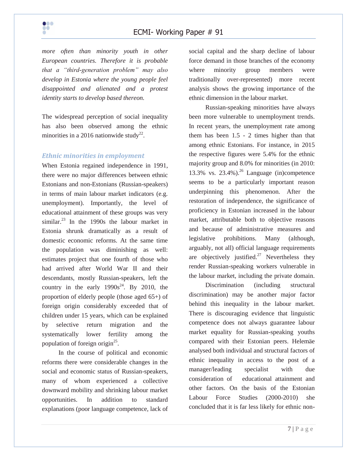

*more often than minority youth in other European countries. Therefore it is probable that a "third-generation problem" may also develop in Estonia where the young people feel disappointed and alienated and a protest identity starts to develop based thereon.* 

The widespread perception of social inequality has also been observed among the ethnic minorities in a 2016 nationwide study<sup>22</sup>.

#### *Ethnic minorities in employment*

When Estonia regained independence in 1991, there were no major differences between ethnic Estonians and non-Estonians (Russian-speakers) in terms of main labour market indicators (e.g. unemployment). Importantly, the level of educational attainment of these groups was very similar. $^{23}$  In the 1990s the labour market in Estonia shrunk dramatically as a result of domestic economic reforms. At the same time the population was diminishing as well: estimates project that one fourth of those who had arrived after World War II and their descendants, mostly Russian-speakers, left the country in the early  $1990s^{24}$ . By 2010, the proportion of elderly people (those aged 65+) of foreign origin considerably exceeded that of children under 15 years, which can be explained by selective return migration and the systematically lower fertility among the population of foreign origin<sup>25</sup>.

In the course of political and economic reforms there were considerable changes in the social and economic status of Russian-speakers, many of whom experienced a collective downward mobility and shrinking labour market opportunities. In addition to standard explanations (poor language competence, lack of social capital and the sharp decline of labour force demand in those branches of the economy where minority group members were traditionally over-represented) more recent analysis shows the growing importance of the ethnic dimension in the labour market.

Russian-speaking minorities have always been more vulnerable to unemployment trends. In recent years, the unemployment rate among them has been 1.5 - 2 times higher than that among ethnic Estonians. For instance, in 2015 the respective figures were 5.4% for the ethnic majority group and 8.0% for minorities (in 2010: 13.3% vs. 23.4%). <sup>26</sup> Language (in)competence seems to be a particularly important reason underpinning this phenomenon. After the restoration of independence, the significance of proficiency in Estonian increased in the labour market, attributable both to objective reasons and because of administrative measures and legislative prohibitions. Many (although, arguably, not all) official language requirements are objectively justified.<sup>27</sup> Nevertheless they render Russian-speaking workers vulnerable in the labour market, including the private domain.

Discrimination (including structural discrimination) may be another major factor behind this inequality in the labour market. There is discouraging evidence that linguistic competence does not always guarantee labour market equality for Russian-speaking youths compared with their Estonian peers. Helemäe analysed both individual and structural factors of ethnic inequality in access to the post of a manager/leading specialist with due consideration of educational attainment and other factors. On the basis of the Estonian Labour Force Studies (2000-2010) she concluded that it is far less likely for ethnic non-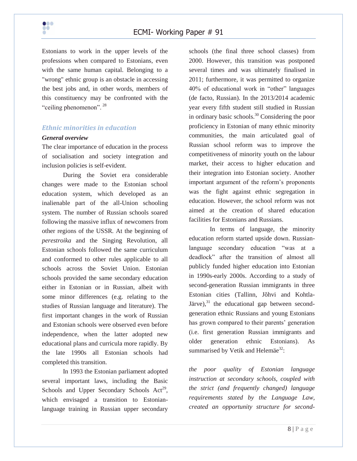

Estonians to work in the upper levels of the professions when compared to Estonians, even with the same human capital. Belonging to a "wrong" ethnic group is an obstacle in accessing the best jobs and, in other words, members of this constituency may be confronted with the "ceiling phenomenon".<sup>28</sup>

#### *Ethnic minorities in education*

#### *General overview*

The clear importance of education in the process of socialisation and society integration and inclusion policies is self-evident.

During the Soviet era considerable changes were made to the Estonian school education system, which developed as an inalienable part of the all-Union schooling system. The number of Russian schools soared following the massive influx of newcomers from other regions of the USSR. At the beginning of *perestroika* and the Singing Revolution, all Estonian schools followed the same curriculum and conformed to other rules applicable to all schools across the Soviet Union. Estonian schools provided the same secondary education either in Estonian or in Russian, albeit with some minor differences (e.g. relating to the studies of Russian language and literature). The first important changes in the work of Russian and Estonian schools were observed even before independence, when the latter adopted new educational plans and curricula more rapidly. By the late 1990s all Estonian schools had completed this transition.

In 1993 the Estonian parliament adopted several important laws, including the Basic Schools and Upper Secondary Schools Act<sup>29</sup>, which envisaged a transition to Estonianlanguage training in Russian upper secondary schools (the final three school classes) from 2000. However, this transition was postponed several times and was ultimately finalised in 2011; furthermore, it was permitted to organize 40% of educational work in "other" languages (de facto, Russian). In the 2013/2014 academic year every fifth student still studied in Russian in ordinary basic schools.<sup>30</sup> Considering the poor proficiency in Estonian of many ethnic minority communities, the main articulated goal of Russian school reform was to improve the competitiveness of minority youth on the labour market, their access to higher education and their integration into Estonian society. Another important argument of the reform's proponents was the fight against ethnic segregation in education. However, the school reform was not aimed at the creation of shared education facilities for Estonians and Russians.

In terms of language, the minority education reform started upside down. Russianlanguage secondary education "was at a deadlock" after the transition of almost all publicly funded higher education into Estonian in 1990s-early 2000s. According to a study of second-generation Russian immigrants in three Estonian cities (Tallinn, Jõhvi and Kohtla-Järve), $31$  the educational gap between secondgeneration ethnic Russians and young Estonians has grown compared to their parents' generation (i.e. first generation Russian immigrants and older generation ethnic Estonians). As summarised by Vetik and Helemäe<sup>32</sup>:

*the poor quality of Estonian language instruction at secondary schools, coupled with the strict (and frequently changed) language requirements stated by the Language Law, created an opportunity structure for second-*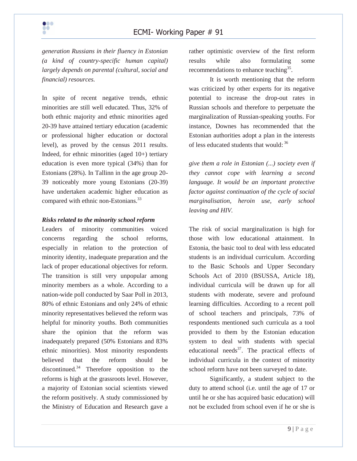*generation Russians in their fluency in Estonian (a kind of country-specific human capital) largely depends on parental (cultural, social and financial) resources.*

In spite of recent negative trends, ethnic minorities are still well educated. Thus, 32% of both ethnic majority and ethnic minorities aged 20-39 have attained tertiary education (academic or professional higher education or doctoral level), as proved by the census 2011 results. Indeed, for ethnic minorities (aged 10+) tertiary education is even more typical (34%) than for Estonians (28%). In Tallinn in the age group 20- 39 noticeably more young Estonians (20-39) have undertaken academic higher education as compared with ethnic non-Estonians.<sup>33</sup>

#### *Risks related to the minority school reform*

Leaders of minority communities voiced concerns regarding the school reforms, especially in relation to the protection of minority identity, inadequate preparation and the lack of proper educational objectives for reform. The transition is still very unpopular among minority members as a whole. According to a nation-wide poll conducted by Saar Poll in 2013, 80% of ethnic Estonians and only 24% of ethnic minority representatives believed the reform was helpful for minority youths. Both communities share the opinion that the reform was inadequately prepared (50% Estonians and 83% ethnic minorities). Most minority respondents believed that the reform should be discontinued. $34$  Therefore opposition to the reforms is high at the grassroots level. However, a majority of Estonian social scientists viewed the reform positively. A study commissioned by the Ministry of Education and Research gave a rather optimistic overview of the first reform results while also formulating some recommendations to enhance teaching<sup>35</sup>.

It is worth mentioning that the reform was criticized by other experts for its negative potential to increase the drop-out rates in Russian schools and therefore to perpetuate the marginalization of Russian-speaking youths. For instance, Downes has recommended that the Estonian authorities adopt a plan in the interests of less educated students that would: 36

*give them a role in Estonian (...) society even if they cannot cope with learning a second language. It would be an important protective factor against continuation of the cycle of social marginalisation, heroin use, early school leaving and HIV.*

The risk of social marginalization is high for those with low educational attainment. In Estonia, the basic tool to deal with less educated students is an individual curriculum. According to the Basic Schools and Upper Secondary Schools Act of 2010 (BSUSSA, Article 18), individual curricula will be drawn up for all students with moderate, severe and profound learning difficulties. According to a recent poll of school teachers and principals, 73% of respondents mentioned such curricula as a tool provided to them by the Estonian education system to deal with students with special educational needs $37$ . The practical effects of individual curricula in the context of minority school reform have not been surveyed to date.

Significantly, a student subject to the duty to attend school (i.e. until the age of 17 or until he or she has acquired basic education) will not be excluded from school even if he or she is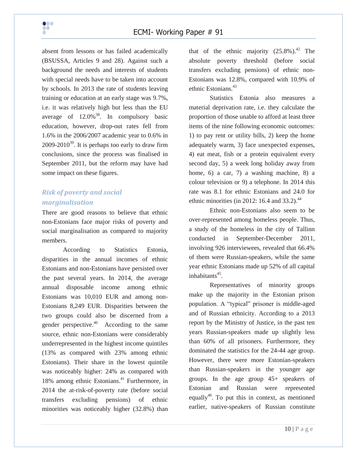

absent from lessons or has failed academically (BSUSSA, Articles 9 and 28). Against such a background the needs and interests of students with special needs have to be taken into account by schools. In 2013 the rate of students leaving training or education at an early stage was 9.7%, i.e. it was relatively high but less than the EU average of  $12.0\%$ <sup>38</sup>. In compulsory basic education, however, drop-out rates fell from 1.6% in the 2006/2007 academic year to 0.6% in  $2009 - 2010^{39}$ . It is perhaps too early to draw firm conclusions, since the process was finalised in September 2011, but the reform may have had some impact on these figures.

# *Risk of poverty and social marginalisation*

There are good reasons to believe that ethnic non-Estonians face major risks of poverty and social marginalisation as compared to majority members.

According to Statistics Estonia, disparities in the annual incomes of ethnic Estonians and non-Estonians have persisted over the past several years. In 2014, the average annual disposable income among ethnic Estonians was 10,010 EUR and among non-Estonians 8,249 EUR. Disparities between the two groups could also be discerned from a gender perspective. $40$  According to the same source, ethnic non-Estonians were considerably underrepresented in the highest income quintiles (13% as compared with 23% among ethnic Estonians). Their share in the lowest quintile was noticeably higher: 24% as compared with 18% among ethnic Estonians. <sup>41</sup> Furthermore, in 2014 the at-risk-of-poverty rate (before social transfers excluding pensions) of ethnic minorities was noticeably higher (32.8%) than that of the ethnic majority  $(25.8\%)$ .<sup>42</sup> The absolute poverty threshold (before social transfers excluding pensions) of ethnic non-Estonians was 12.8%, compared with 10.9% of ethnic Estonians.<sup>43</sup>

Statistics Estonia also measures a material deprivation rate, i.e. they calculate the proportion of those unable to afford at least three items of the nine following economic outcomes: 1) to pay rent or utility bills, 2) keep the home adequately warm, 3) face unexpected expenses, 4) eat meat, fish or a protein equivalent every second day, 5) a week long holiday away from home, 6) a car, 7) a washing machine, 8) a colour television or 9) a telephone. In 2014 this rate was 8.1 for ethnic Estonians and 24.0 for ethnic minorities (in 2012: 16.4 and 33.2). $^{44}$ 

Ethnic non-Estonians also seem to be over-represented among homeless people. Thus, a study of the homeless in the city of Tallinn conducted in September-December 2011, involving 926 interviewees, revealed that 66.4% of them were Russian-speakers, while the same year ethnic Estonians made up 52% of all capital inhabitants<sup>45</sup>.

Representatives of minority groups make up the majority in the Estonian prison population. A "typical" prisoner is middle-aged and of Russian ethnicity. According to a 2013 report by the Ministry of Justice, in the past ten years Russian-speakers made up slightly less than 60% of all prisoners. Furthermore, they dominated the statistics for the 24-44 age group. However, there were more Estonian-speakers than Russian-speakers in the younger age groups. In the age group 45+ speakers of Estonian and Russian were represented equally<sup>46</sup>. To put this in context, as mentioned earlier, native-speakers of Russian constitute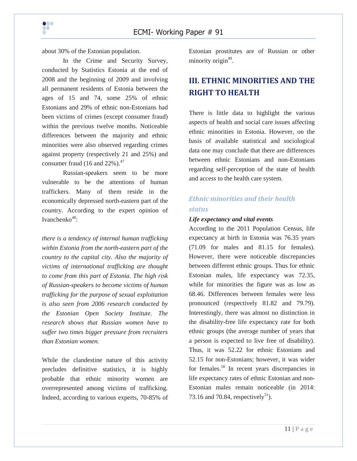about 30% of the Estonian population.

In the Crime and Security Survey, conducted by Statistics Estonia at the end of 2008 and the beginning of 2009 and involving all permanent residents of Estonia between the ages of 15 and 74, some 25% of ethnic Estonians and 29% of ethnic non-Estonians had been victims of crimes (except consumer fraud) within the previous twelve months. Noticeable differences between the majority and ethnic minorities were also observed regarding crimes against property (respectively 21 and 25%) and consumer fraud  $(16$  and  $22\%)$ .<sup>47</sup>

Russian-speakers seem to be more vulnerable to be the attentions of human traffickers. Many of them reside in the economically depressed north-eastern part of the country. According to the expert opinion of Ivanchenko $48$ :

*there is a tendency of internal human trafficking within Estonia from the north-eastern part of the country to the capital city. Also the majority of victims of international trafficking are thought to come from this part of Estonia. The high risk of Russian-speakers to become victims of human trafficking for the purpose of sexual exploitation is also seen from 2006 research conducted by the Estonian Open Society Institute. The research shows that Russian women have to suffer two times bigger pressure from recruiters than Estonian women.* 

While the clandestine nature of this activity precludes definitive statistics, it is highly probable that ethnic minority women are overrepresented among victims of trafficking. Indeed, according to various experts, 70-85% of

Estonian prostitutes are of Russian or other minority origin<sup>49</sup>.

# **III. ETHNIC MINORITIES AND THE RIGHT TO HEALTH**

There is little data to highlight the various aspects of health and social care issues affecting ethnic minorities in Estonia. However, on the basis of available statistical and sociological data one may conclude that there are differences between ethnic Estonians and non-Estonians regarding self-perception of the state of health and access to the health care system.

# *Ethnic minorities and their health status*

#### *Life expectancy and vital events*

According to the 2011 Population Census, life expectancy at birth in Estonia was 76.35 years (71.09 for males and 81.15 for females). However, there were noticeable discrepancies between different ethnic groups. Thus for ethnic Estonian males, life expectancy was 72.35, while for minorities the figure was as low as 68.46. Differences between females were less pronounced (respectively 81.82 and 79.79). Interestingly, there was almost no distinction in the disability-free life expectancy rate for both ethnic groups (the average number of years that a person is expected to live free of disability). Thus, it was 52.22 for ethnic Estonians and 52.15 for non-Estonians; however, it was wider for females.<sup>50</sup> In recent years discrepancies in life expectancy rates of ethnic Estonian and non-Estonian males remain noticeable (in 2014: 73.16 and 70.84, respectively<sup>51</sup>).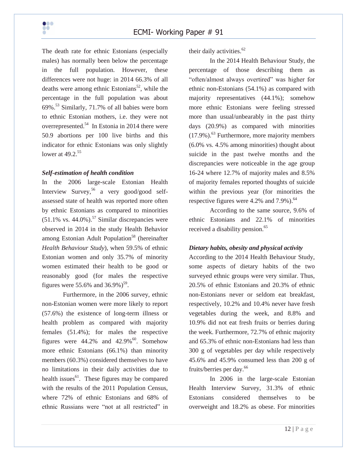

The death rate for ethnic Estonians (especially males) has normally been below the percentage in the full population. However, these differences were not huge: in 2014 66.3% of all deaths were among ethnic Estonians<sup>52</sup>, while the percentage in the full population was about  $69\%$ <sup>53</sup> Similarly, 71.7% of all babies were born to ethnic Estonian mothers, i.e. they were not overrepresented.<sup>54</sup> In Estonia in 2014 there were 50.9 abortions per 100 live births and this indicator for ethnic Estonians was only slightly lower at 49.2.<sup>55</sup>

#### *Self-estimation of health condition*

In the 2006 large-scale Estonian Health Interview Survey,<sup>56</sup> a very good/good selfassessed state of health was reported more often by ethnic Estonians as compared to minorities  $(51.1\%$  vs. 44.0%).<sup>57</sup> Similar discrepancies were observed in 2014 in the study Health Behavior among Estonian Adult Population<sup>58</sup> (hereinafter *Health Behaviour Study*), when 59.5% of ethnic Estonian women and only 35.7% of minority women estimated their health to be good or reasonably good (for males the respective figures were 55.6% and  $36.9\%$ )<sup>59</sup>.

Furthermore, in the 2006 survey, ethnic non-Estonian women were more likely to report (57.6%) the existence of long-term illness or health problem as compared with majority females (51.4%); for males the respective figures were  $44.2\%$  and  $42.9\%$ <sup>60</sup>. Somehow more ethnic Estonians (66.1%) than minority members (60.3%) considered themselves to have no limitations in their daily activities due to health issues $^{61}$ . These figures may be compared with the results of the 2011 Population Census, where 72% of ethnic Estonians and 68% of ethnic Russians were "not at all restricted" in

their daily activities. $62$ 

In the 2014 Health Behaviour Study, the percentage of those describing them as "often/almost always overtired" was higher for ethnic non-Estonians (54.1%) as compared with majority representatives (44.1%); somehow more ethnic Estonians were feeling stressed more than usual/unbearably in the past thirty days (20.9%) as compared with minorities (17.9%). <sup>63</sup> Furthermore, more majority members (6.0% vs. 4.5% among minorities) thought about suicide in the past twelve months and the discrepancies were noticeable in the age group 16-24 where 12.7% of majority males and 8.5% of majority females reported thoughts of suicide within the previous year (for minorities the respective figures were 4.2% and 7.9%).<sup>64</sup>

According to the same source, 9.6% of ethnic Estonians and 22.1% of minorities received a disability pension.<sup>65</sup>

#### *Dietary habits, obesity and physical activity*

According to the 2014 Health Behaviour Study, some aspects of dietary habits of the two surveyed ethnic groups were very similar. Thus, 20.5% of ethnic Estonians and 20.3% of ethnic non-Estonians never or seldom eat breakfast, respectively, 10.2% and 10.4% never have fresh vegetables during the week, and 8.8% and 10.9% did not eat fresh fruits or berries during the week. Furthermore, 72.7% of ethnic majority and 65.3% of ethnic non-Estonians had less than 300 g of vegetables per day while respectively 45.6% and 45.9% consumed less than 200 g of fruits/berries per day.<sup>66</sup>

In 2006 in the large-scale Estonian Health Interview Survey, 31.3% of ethnic Estonians considered themselves to be overweight and 18.2% as obese. For minorities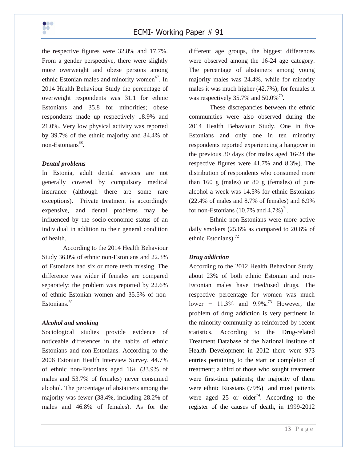

the respective figures were 32.8% and 17.7%. From a gender perspective, there were slightly more overweight and obese persons among ethnic Estonian males and minority women<sup>67</sup>. In 2014 Health Behaviour Study the percentage of overweight respondents was 31.1 for ethnic Estonians and 35.8 for minorities; obese respondents made up respectively 18.9% and 21.0%. Very low physical activity was reported by 39.7% of the ethnic majority and 34.4% of non-Estonians<sup>68</sup>.

#### *Dental problems*

In Estonia, adult dental services are not generally covered by compulsory medical insurance (although there are some rare exceptions). Private treatment is accordingly expensive, and dental problems may be influenced by the socio-economic status of an individual in addition to their general condition of health.

According to the 2014 Health Behaviour Study 36.0% of ethnic non-Estonians and 22.3% of Estonians had six or more teeth missing. The difference was wider if females are compared separately: the problem was reported by 22.6% of ethnic Estonian women and 35.5% of non-Estonians.<sup>69</sup>

#### *Alcohol and smoking*

Sociological studies provide evidence of noticeable differences in the habits of ethnic Estonians and non-Estonians. According to the 2006 Estonian Health Interview Survey, 44.7% of ethnic non-Estonians aged 16+ (33.9% of males and 53.7% of females) never consumed alcohol. The percentage of abstainers among the majority was fewer (38.4%, including 28.2% of males and 46.8% of females). As for the

different age groups, the biggest differences were observed among the 16-24 age category. The percentage of abstainers among young majority males was 24.4%, while for minority males it was much higher (42.7%); for females it was respectively 35.7% and  $50.0\%$ <sup>70</sup>.

These discrepancies between the ethnic communities were also observed during the 2014 Health Behaviour Study. One in five Estonians and only one in ten minority respondents reported experiencing a hangover in the previous 30 days (for males aged 16-24 the respective figures were 41.7% and 8.3%). The distribution of respondents who consumed more than 160 g (males) or 80 g (females) of pure alcohol a week was 14.5% for ethnic Estonians (22.4% of males and 8.7% of females) and 6.9% for non-Estonians (10.7% and  $4.7\%)$ <sup>71</sup>.

Ethnic non-Estonians were more active daily smokers (25.6% as compared to 20.6% of ethnic Estonians). $^{72}$ 

#### *Drug addiction*

According to the 2012 Health Behaviour Study, about 23% of both ethnic Estonian and non-Estonian males have tried/used drugs. The respective percentage for women was much lower − 11.3% and  $9.9\%$ .<sup>73</sup> However, the problem of drug addiction is very pertinent in the minority community as reinforced by recent statistics. According to the Drug-related Treatment Database of the National Institute of Health Development in 2012 there were 973 entries pertaining to the start or completion of treatment; a third of those who sought treatment were first-time patients; the majority of them were ethnic Russians (79%) and most patients were aged 25 or older<sup>74</sup>. According to the register of the causes of death, in 1999-2012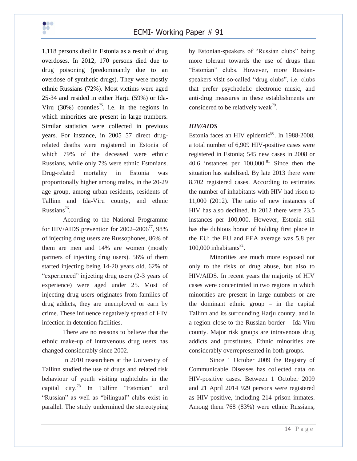1,118 persons died in Estonia as a result of drug overdoses. In 2012, 170 persons died due to drug poisoning (predominantly due to an overdose of synthetic drugs). They were mostly ethnic Russians (72%). Most victims were aged 25-34 and resided in either Harju (59%) or Ida-Viru  $(30\%)$  counties<sup>75</sup>, i.e. in the regions in which minorities are present in large numbers. Similar statistics were collected in previous years. For instance, in 2005 57 direct drugrelated deaths were registered in Estonia of which 79% of the deceased were ethnic Russians, while only 7% were ethnic Estonians. Drug-related mortality in Estonia was proportionally higher among males, in the 20-29 age group, among urban residents, residents of Tallinn and Ida-Viru county, and ethnic Russians<sup>76</sup>.

According to the National Programme for HIV/AIDS prevention for  $2002-2006^{77}$ , 98% of injecting drug users are Russophones, 86% of them are men and 14% are women (mostly partners of injecting drug users). 56% of them started injecting being 14-20 years old. 62% of "experienced" injecting drug users (2-3 years of experience) were aged under 25. Most of injecting drug users originates from families of drug addicts, they are unemployed or earn by crime. These influence negatively spread of HIV infection in detention facilities.

There are no reasons to believe that the ethnic make-up of intravenous drug users has changed considerably since 2002.

In 2010 researchers at the University of Tallinn studied the use of drugs and related risk behaviour of youth visiting nightclubs in the capital city.<sup>78</sup> In Tallinn "Estonian" and "Russian" as well as "bilingual" clubs exist in parallel. The study undermined the stereotyping by Estonian-speakers of "Russian clubs" being more tolerant towards the use of drugs than "Estonian" clubs. However, more Russianspeakers visit so-called "drug clubs", i.e. clubs that prefer psychedelic electronic music, and anti-drug measures in these establishments are considered to be relatively weak<sup>79</sup>.

#### *HIV/AIDS*

Estonia faces an HIV epidemic $80$ . In 1988-2008, a total number of 6,909 HIV-positive cases were registered in Estonia; 545 new cases in 2008 or 40.6 instances per  $100,000$ .<sup>81</sup> Since then the situation has stabilised. By late 2013 there were 8,702 registered cases. According to estimates the number of inhabitants with HIV had risen to 11,000 (2012). The ratio of new instances of HIV has also declined. In 2012 there were 23.5 instances per 100,000. However, Estonia still has the dubious honor of holding first place in the EU; the EU and EEA average was 5.8 per  $100,000$  inhabitants $^{82}$ .

Minorities are much more exposed not only to the risks of drug abuse, but also to HIV/AIDS. In recent years the majority of HIV cases were concentrated in two regions in which minorities are present in large numbers or are the dominant ethnic group – in the capital Tallinn and its surrounding Harju county, and in a region close to the Russian border – Ida-Viru county. Major risk groups are intravenous drug addicts and prostitutes. Ethnic minorities are considerably overrepresented in both groups.

Since 1 October 2009 the Registry of Communicable Diseases has collected data on HIV-positive cases. Between 1 October 2009 and 21 April 2014 929 persons were registered as HIV-positive, including 214 prison inmates. Among them 768 (83%) were ethnic Russians,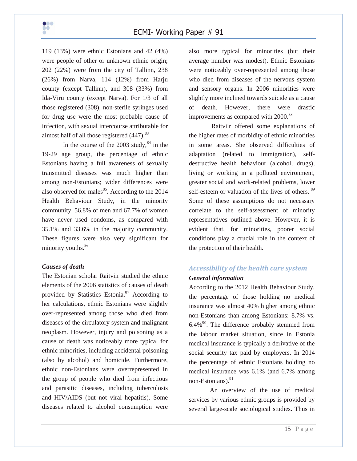119 (13%) were ethnic Estonians and 42 (4%) were people of other or unknown ethnic origin; 202 (22%) were from the city of Tallinn, 238 (26%) from Narva, 114 (12%) from Harju county (except Tallinn), and 308 (33%) from Ida-Viru county (except Narva). For 1/3 of all those registered (308), non-sterile syringes used for drug use were the most probable cause of infection, with sexual intercourse attributable for almost half of all those registered  $(447)$ .<sup>83</sup>

In the course of the  $2003$  study,  $84$  in the 19-29 age group, the percentage of ethnic Estonians having a full awareness of sexually transmitted diseases was much higher than among non-Estonians; wider differences were also observed for males<sup>85</sup>. According to the 2014 Health Behaviour Study, in the minority community, 56.8% of men and 67.7% of women have never used condoms, as compared with 35.1% and 33.6% in the majority community. These figures were also very significant for minority youths.<sup>86</sup>

#### *Causes of death*

The Estonian scholar Raitviir studied the ethnic elements of the 2006 statistics of causes of death provided by Statistics Estonia.<sup>87</sup> According to her calculations, ethnic Estonians were slightly over-represented among those who died from diseases of the circulatory system and malignant neoplasm. However, injury and poisoning as a cause of death was noticeably more typical for ethnic minorities, including accidental poisoning (also by alcohol) and homicide. Furthermore, ethnic non-Estonians were overrepresented in the group of people who died from infectious and parasitic diseases, including tuberculosis and HIV/AIDS (but not viral hepatitis). Some diseases related to alcohol consumption were

also more typical for minorities (but their average number was modest). Ethnic Estonians were noticeably over-represented among those who died from diseases of the nervous system and sensory organs. In 2006 minorities were slightly more inclined towards suicide as a cause of death. However, there were drastic improvements as compared with 2000.<sup>88</sup>

Raitviir offered some explanations of the higher rates of morbidity of ethnic minorities in some areas. She observed difficulties of adaptation (related to immigration), selfdestructive health behaviour (alcohol, drugs), living or working in a polluted environment, greater social and work-related problems, lower self-esteem or valuation of the lives of others. <sup>89</sup> Some of these assumptions do not necessary correlate to the self-assessment of minority representatives outlined above. However, it is evident that, for minorities, poorer social conditions play a crucial role in the context of the protection of their health.

## *Accessibility of the health care system General information*

According to the 2012 Health Behaviour Study, the percentage of those holding no medical insurance was almost 40% higher among ethnic non-Estonians than among Estonians: 8.7% vs.  $6.4\%$ <sup>90</sup>. The difference probably stemmed from the labour market situation, since in Estonia medical insurance is typically a derivative of the social security tax paid by employers. In 2014 the percentage of ethnic Estonians holding no medical insurance was 6.1% (and 6.7% among non-Estonians).<sup>91</sup>

An overview of the use of medical services by various ethnic groups is provided by several large-scale sociological studies. Thus in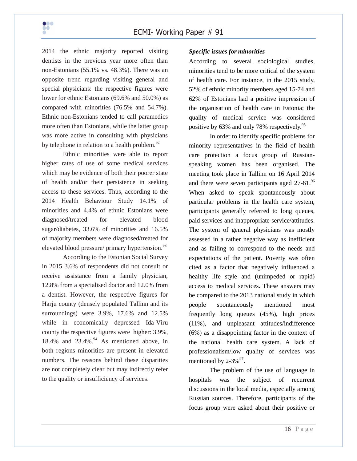

2014 the ethnic majority reported visiting dentists in the previous year more often than non-Estonians (55.1% vs. 48.3%). There was an opposite trend regarding visiting general and special physicians: the respective figures were lower for ethnic Estonians (69.6% and 50.0%) as compared with minorities (76.5% and 54.7%). Ethnic non-Estonians tended to call paramedics more often than Estonians, while the latter group was more active in consulting with physicians by telephone in relation to a health problem.<sup>92</sup>

Ethnic minorities were able to report higher rates of use of some medical services which may be evidence of both their poorer state of health and/or their persistence in seeking access to these services. Thus, according to the 2014 Health Behaviour Study 14.1% of minorities and 4.4% of ethnic Estonians were diagnosed/treated for elevated blood sugar/diabetes, 33.6% of minorities and 16.5% of majority members were diagnosed/treated for elevated blood pressure/ primary hypertension. $^{93}$ 

According to the Estonian Social Survey in 2015 3.6% of respondents did not consult or receive assistance from a family physician, 12.8% from a specialised doctor and 12.0% from a dentist. However, the respective figures for Harju county (densely populated Tallinn and its surroundings) were 3.9%, 17.6% and 12.5% while in economically depressed Ida-Viru county the respective figures were higher: 3.9%, 18.4% and 23.4%. <sup>94</sup> As mentioned above, in both regions minorities are present in elevated numbers. The reasons behind these disparities are not completely clear but may indirectly refer to the quality or insufficiency of services.

### *Specific issues for minorities*

According to several sociological studies, minorities tend to be more critical of the system of health care. For instance, in the 2015 study, 52% of ethnic minority members aged 15-74 and 62% of Estonians had a positive impression of the organisation of health care in Estonia; the quality of medical service was considered positive by 63% and only 78% respectively.<sup>95</sup>

In order to identify specific problems for minority representatives in the field of health care protection a focus group of Russianspeaking women has been organised. The meeting took place in Tallinn on 16 April 2014 and there were seven participants aged  $27-61$ .<sup>96</sup> When asked to speak spontaneously about particular problems in the health care system, participants generally referred to long queues, paid services and inappropriate service/attitudes. The system of general physicians was mostly assessed in a rather negative way as inefficient and as failing to correspond to the needs and expectations of the patient. Poverty was often cited as a factor that negatively influenced a healthy life style and (unimpeded or rapid) access to medical services. These answers may be compared to the 2013 national study in which people spontaneously mentioned most frequently long queues (45%), high prices (11%), and unpleasant attitudes/indifference (6%) as a disappointing factor in the context of the national health care system. A lack of professionalism/low quality of services was mentioned by  $2-3\%$ <sup>97</sup>.

The problem of the use of language in hospitals was the subject of recurrent discussions in the local media, especially among Russian sources. Therefore, participants of the focus group were asked about their positive or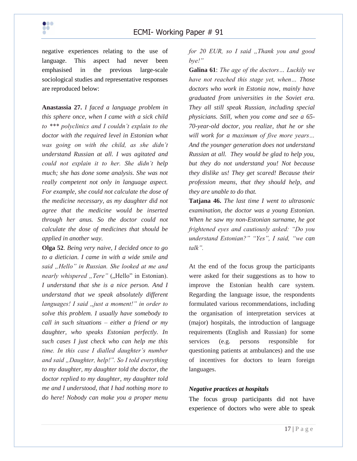negative experiences relating to the use of language. This aspect had never been emphasised in the previous large-scale sociological studies and representative responses are reproduced below:

**Anastassia 27.** *I faced a language problem in this sphere once, when I came with a sick child to \*\*\* polyclinics and I couldn't explain to the doctor with the required level in Estonian what was going on with the child, as she didn't understand Russian at all. I was agitated and could not explain it to her. She didn't help much; she has done some analysis. She was not really competent not only in language aspect. For example, she could not calculate the dose of the medicine necessary, as my daughter did not agree that the medicine would be inserted through her anus. So the doctor could not calculate the dose of medicines that should be applied in another way.*

**Olga 52**. *Being very naive, I decided once to go to a dietician. I came in with a wide smile and said "Hello" in Russian. She looked at me and nearly whispered "Tere"* ("Hello" in Estonian). *I understand that she is a nice person. And I understand that we speak absolutely different languages! I said "just a moment!" in order to solve this problem. I usually have somebody to call in such situations – either a friend or my daughter, who speaks Estonian perfectly. In such cases I just check who can help me this time. In this case I dialled daughter's number and said "Daughter, help!". So I told everything to my daughter, my daughter told the doctor, the doctor replied to my daughter, my daughter told me and I understood, that I had nothing more to do here! Nobody can make you a proper menu* 

*for 20 EUR, so I said "Thank you and good bye!"* 

**Galina 61**: *The age of the doctors… Luckily we have not reached this stage yet, when… Those doctors who work in Estonia now, mainly have graduated from universities in the Soviet era. They all still speak Russian, including special physicians. Still, when you come and see a 65- 70-year-old doctor, you realize, that he or she will work for a maximum of five more years… And the younger generation does not understand Russian at all. They would be glad to help you, but they do not understand you! Not because they dislike us! They get scared! Because their profession means, that they should help, and they are unable to do that.* 

**Tatjana 46.** *The last time I went to ultrasonic examination, the doctor was a young Estonian. When he saw my non-Estonian surname, he got frightened eyes and cautiously asked: "Do you understand Estonian?" "Yes", I said, "we can talk".* 

At the end of the focus group the participants were asked for their suggestions as to how to improve the Estonian health care system. Regarding the language issue, the respondents formulated various recommendations, including the organisation of interpretation services at (major) hospitals, the introduction of language requirements (English and Russian) for some services (e.g. persons responsible for questioning patients at ambulances) and the use of incentives for doctors to learn foreign languages.

#### *Negative practices at hospitals*

The focus group participants did not have experience of doctors who were able to speak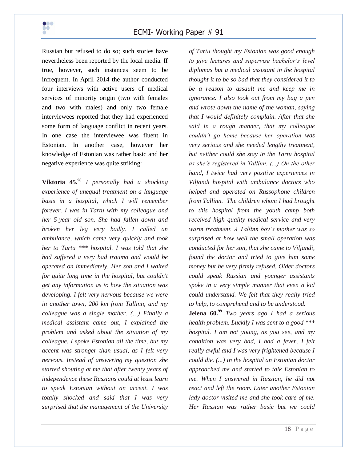

Russian but refused to do so; such stories have nevertheless been reported by the local media. If true, however, such instances seem to be infrequent. In April 2014 the author conducted four interviews with active users of medical services of minority origin (two with females and two with males) and only two female interviewees reported that they had experienced some form of language conflict in recent years. In one case the interviewee was fluent in Estonian. In another case, however her knowledge of Estonian was rather basic and her negative experience was quite striking:

**Viktoria 45.<sup>98</sup>** *I personally had a shocking experience of unequal treatment on a language basis in a hospital, which I will remember forever. I was in Tartu with my colleague and her 5-year old son. She had fallen down and broken her leg very badly. I called an ambulance, which came very quickly and took her to Tartu \*\*\* hospital. I was told that she had suffered a very bad trauma and would be operated on immediately. Her son and I waited for quite long time in the hospital, but couldn't get any information as to how the situation was developing. I felt very nervous because we were in another town, 200 km from Tallinn, and my colleague was a single mother. (…) Finally a medical assistant came out, I explained the problem and asked about the situation of my colleague. I spoke Estonian all the time, but my accent was stronger than usual, as I felt very nervous. Instead of answering my question she started shouting at me that after twenty years of independence these Russians could at least learn to speak Estonian without an accent. I was totally shocked and said that I was very surprised that the management of the University* 

*of Tartu thought my Estonian was good enough to give lectures and supervise bachelor's level diplomas but a medical assistant in the hospital thought it to be so bad that they considered it to be a reason to assault me and keep me in ignorance. I also took out from my bag a pen and wrote down the name of the woman, saying that I would definitely complain. After that she said in a rough manner, that my colleague couldn't go home because her operation was very serious and she needed lengthy treatment, but neither could she stay in the Tartu hospital as she's registered in Tallinn. (...) On the other hand, I twice had very positive experiences in Viljandi hospital with ambulance doctors who helped and operated on Russophone children from Tallinn. The children whom I had brought to this hospital from the youth camp both received high quality medical service and very warm treatment. A Tallinn boy's mother was so surprised at how well the small operation was conducted for her son, that she came to Viljandi, found the doctor and tried to give him some money but he very firmly refused. Older doctors could speak Russian and younger assistants spoke in a very simple manner that even a kid could understand. We felt that they really tried to help, to comprehend and to be understood.* 

**Jelena 60.<sup>99</sup>** *Two years ago I had a serious health problem. Luckily I was sent to a good \*\*\* hospital. I am not young, as you see, and my condition was very bad, I had a fever, I felt really awful and I was very frightened because I could die. (...) In the hospital an Estonian doctor approached me and started to talk Estonian to me. When I answered in Russian, he did not react and left the room. Later another Estonian lady doctor visited me and she took care of me. Her Russian was rather basic but we could*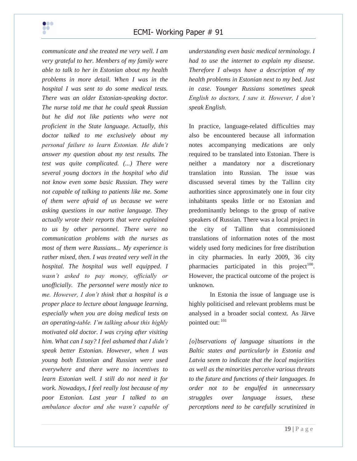

*communicate and she treated me very well. I am very grateful to her. Members of my family were able to talk to her in Estonian about my health problems in more detail. When I was in the hospital I was sent to do some medical tests. There was an older Estonian-speaking doctor. The nurse told me that he could speak Russian but he did not like patients who were not proficient in the State language. Actually, this doctor talked to me exclusively about my personal failure to learn Estonian. He didn't answer my question about my test results. The test was quite complicated. (...) There were several young doctors in the hospital who did not know even some basic Russian. They were not capable of talking to patients like me. Some of them were afraid of us because we were asking questions in our native language. They actually wrote their reports that were explained to us by other personnel. There were no communication problems with the nurses as most of them were Russians... My experience is rather mixed, then. I was treated very well in the hospital. The hospital was well equipped. I wasn't asked to pay money, officially or unofficially. The personnel were mostly nice to me. However, I don't think that a hospital is a proper place to lecture about language learning, especially when you are doing medical tests on an operating-table. I'm talking about this highly motivated old doctor. I was crying after visiting him. What can I say? I feel ashamed that I didn't speak better Estonian. However, when I was young both Estonian and Russian were used everywhere and there were no incentives to learn Estonian well. I still do not need it for work. Nowadays, I feel really lost because of my poor Estonian. Last year I talked to an ambulance doctor and she wasn't capable of*  *understanding even basic medical terminology. I had to use the internet to explain my disease. Therefore I always have a description of my health problems in Estonian next to my bed. Just in case. Younger Russians sometimes speak English to doctors, I saw it. However, I don't speak English.* 

In practice, language-related difficulties may also be encountered because all information notes accompanying medications are only required to be translated into Estonian. There is neither a mandatory nor a discretionary translation into Russian. The issue was discussed several times by the Tallinn city authorities since approximately one in four city inhabitants speaks little or no Estonian and predominantly belongs to the group of native speakers of Russian. There was a local project in the city of Tallinn that commissioned translations of information notes of the most widely used forty medicines for free distribution in city pharmacies. In early 2009, 36 city pharmacies participated in this project<sup>100</sup>. However, the practical outcome of the project is unknown.

In Estonia the issue of language use is highly politicised and relevant problems must be analysed in a broader social context. As Järve pointed out: 101

*[o]bservations of language situations in the Baltic states and particularly in Estonia and Latvia seem to indicate that the local majorities as well as the minorities perceive various threats to the future and functions of their languages. In order not to be engulfed in unnecessary struggles over language issues, these perceptions need to be carefully scrutinized in*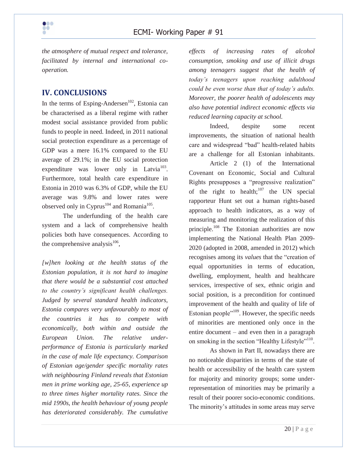

*the atmosphere of mutual respect and tolerance, facilitated by internal and international cooperation.*

## **IV. CONCLUSIONS**

In the terms of Esping-Andersen<sup>102</sup>, Estonia can be characterised as a liberal regime with rather modest social assistance provided from public funds to people in need. Indeed, in 2011 national social protection expenditure as a percentage of GDP was a mere 16.1% compared to the EU average of 29.1%; in the EU social protection expenditure was lower only in Latvia<sup>103</sup>. Furthermore, total health care expenditure in Estonia in 2010 was 6.3% of GDP, while the EU average was 9.8% and lower rates were observed only in Cyprus<sup>104</sup> and Romania<sup>105</sup>.

The underfunding of the health care system and a lack of comprehensive health policies both have consequences. According to the comprehensive analysis $^{106}$ ,

*[w]hen looking at the health status of the Estonian population, it is not hard to imagine that there would be a substantial cost attached to the country's significant health challenges. Judged by several standard health indicators, Estonia compares very unfavourably to most of the countries it has to compete with economically, both within and outside the European Union. The relative underperformance of Estonia is particularly marked in the case of male life expectancy. Comparison of Estonian age/gender specific mortality rates with neighbouring Finland reveals that Estonian men in prime working age, 25-65, experience up to three times higher mortality rates. Since the mid 1990s, the health behaviour of young people has deteriorated considerably. The cumulative* 

*effects of increasing rates of alcohol consumption, smoking and use of illicit drugs among teenagers suggest that the health of today's teenagers upon reaching adulthood could be even worse than that of today's adults. Moreover, the poorer health of adolescents may also have potential indirect economic effects via reduced learning capacity at school.*

Indeed, despite some recent improvements, the situation of national health care and widespread "bad" health-related habits are a challenge for all Estonian inhabitants.

Article 2 (1) of the International Covenant on Economic, Social and Cultural Rights presupposes a "progressive realization" of the right to health; $107$  the UN special rapporteur Hunt set out a human rights-based approach to health indicators, as a way of measuring and monitoring the realization of this principle.<sup>108</sup> The Estonian authorities are now implementing the National Health Plan 2009- 2020 (adopted in 2008, amended in 2012) which recognises among its *values* that the "creation of equal opportunities in terms of education, dwelling, employment, health and healthcare services, irrespective of sex, ethnic origin and social position, is a precondition for continued improvement of the health and quality of life of Estonian people"<sup>109</sup>. However, the specific needs of minorities are mentioned only once in the entire document – and even then in a paragraph on smoking in the section "Healthy Lifestyle"<sup>110</sup>.

As shown in Part II, nowadays there are no noticeable disparities in terms of the state of health or accessibility of the health care system for majority and minority groups; some underrepresentation of minorities may be primarily a result of their poorer socio-economic conditions. The minority's attitudes in some areas may serve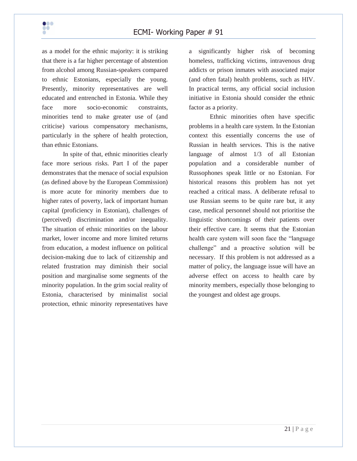as a model for the ethnic majority: it is striking that there is a far higher percentage of abstention from alcohol among Russian-speakers compared to ethnic Estonians, especially the young. Presently, minority representatives are well educated and entrenched in Estonia. While they face more socio-economic constraints, minorities tend to make greater use of (and criticise) various compensatory mechanisms, particularly in the sphere of health protection, than ethnic Estonians.

In spite of that, ethnic minorities clearly face more serious risks. Part I of the paper demonstrates that the menace of social expulsion (as defined above by the European Commission) is more acute for minority members due to higher rates of poverty, lack of important human capital (proficiency in Estonian), challenges of (perceived) discrimination and/or inequality. The situation of ethnic minorities on the labour market, lower income and more limited returns from education, a modest influence on political decision-making due to lack of citizenship and related frustration may diminish their social position and marginalise some segments of the minority population. In the grim social reality of Estonia, characterised by minimalist social protection, ethnic minority representatives have

a significantly higher risk of becoming homeless, trafficking victims, intravenous drug addicts or prison inmates with associated major (and often fatal) health problems, such as HIV. In practical terms, any official social inclusion initiative in Estonia should consider the ethnic factor as a priority.

Ethnic minorities often have specific problems in a health care system. In the Estonian context this essentially concerns the use of Russian in health services. This is the native language of almost 1/3 of all Estonian population and a considerable number of Russophones speak little or no Estonian. For historical reasons this problem has not yet reached a critical mass. A deliberate refusal to use Russian seems to be quite rare but, it any case, medical personnel should not prioritise the linguistic shortcomings of their patients over their effective care. It seems that the Estonian health care system will soon face the "language challenge" and a proactive solution will be necessary. If this problem is not addressed as a matter of policy, the language issue will have an adverse effect on access to health care by minority members, especially those belonging to the youngest and oldest age groups.

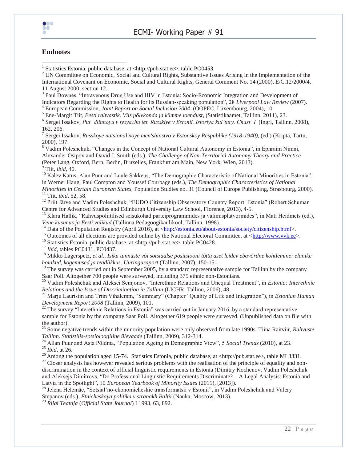

#### **Endnotes**

 $\bullet\bullet\bullet$  $\bullet\bullet$ 

1 Statistics Estonia, public database, at <http://pub.stat.ee>, table PO0453.

<sup>2</sup> UN Committee on Economic, Social and Cultural Rights, Substantive Issues Arising in the Implementation of the International Covenant on Economic, Social and Cultural Rights, General Comment No. 14 (2000), E/C.12/2000/4, 11 August 2000, section 12.

<sup>3</sup> Paul Downes, "Intravenous Drug Use and HIV in Estonia: Socio-Economic Integration and Development of Indicators Regarding the Rights to Health for its Russian-speaking population", 28 *Liverpool Law Review* (2007).

<sup>4</sup> European Commission, *Joint Report on Social Inclusion 2004,* (OOPEC, Luxembourg, 2004), 10.

<sup>5</sup> Ene-Margit Tiit, *Eesti rahvastik. Viis põlvkonda ja kümme loendust*, (Statistikaamet, Tallinn, 2011), 23.

6 Sergei Issakov, *Put' dlinnoyu v tysyachu let. Russkiye v Estonii. Istoriya kul'tury. Chast' I* (Ingri, Tallinn, 2008), 162, 206.

7 Sergei Issakov, *Russkoye natsional'noye men'shinstvo v Estonskoy Respublike (1918-1940)*, (ed.) (Kripta, Tartu, 2000), 197.

<sup>8</sup> Vadim Poleshchuk, "Changes in the Concept of National Cultural Autonomy in Estonia", in Ephraim Nimni, Alexander Osipov and David J. Smith (eds.), *The Challenge of Non-Territorial Autonomy Theory and Practice* (Peter Lang, Oxford, Bern, Berlin, Bruxelles, Frankfurt am Main, New York, Wien, 2013). <sup>9</sup> Tiit, *ibid*, 40.

<sup>10</sup> Kalev Katus, Alan Puur and Luule Sakkeus, "The Demographic Characteristic of National Minorities in Estonia", in Werner Haug, Paul Compton and Youssef Courbage (eds.), *The Demographic Characteristics of National Minorities in Certain European States*, Population Studies no. 31 (Council of Europe Publishing, Strasbourg, 2000). <sup>11</sup> Tiit, *ibid,* 52, 58.

<sup>12</sup> Priit Järve and Vadim Poleshchuk, "EUDO Citizenship Observatory Country Report: Estonia" (Robert Schuman Centre for Advanced Studies and Edinburgh University Law School, Florence, 2013), 4-5.

 $13$  Klara Hallik, "Rahvuspoliitilised seisukohad parteiprogrammides ja valimisplatvormides", in Mati Heidmets (ed.), *Vene küsimus ja Eesti valikud* (Tallinna Pedagoogikaülikool, Tallinn, 1998).

<sup>14</sup> Data of the Population Registry (April 2016), at  $\frac{\text{http://estonia.eu/about-estonia/society/citizenship.html>}}{14}$ .

<sup>15</sup> Outcomes of all elections are provided online by the National Electoral Committee, at  $\langle \frac{\text{http://www.vvk.ee>}}{\text{http://www.vvk.ee>}} \rangle$ .

<sup>16</sup> Statistics Estonia, public database, at <http://pub.stat.ee>, table PC0428.

<sup>17</sup> *Ibid*, tables PC0431, PC0437.

<sup>18</sup> Mikko Lagerspetz*, et al*., *Isiku tunnuste või sotsiaalse positsiooni tõttu aset leidev ebavõrdne kohtlemine: elanike hoiakud, kogemused ja teadlikkus*. *Uuringuraport* (Tallinn, 2007), 150-151.

 $19$  The survey was carried out in September 2005, by a standard representative sample for Tallinn by the company Saar Poll. Altogether 700 people were surveyed, including 375 ethnic non-Estonians.

<sup>20</sup> Vadim Poleshchuk and Aleksei Semjonov, "Interethnic Relations and Unequal Treatment", in *Estonia: Interethnic Relations and the Issue of Discrimination in Tallinn* (LICHR, Tallinn, 2006), 48.

<sup>21</sup> Marju Lauristin and Triin Vihalemm, "Summary" (Chapter "Quality of Life and Integration"), in *Estonian Human Development Report 2008* (Tallinn, 2009), 101.

 $^{22}$  The survey "Interethnic Relations in Estonia" was carried out in January 2016, by a standard representative sample for Estonia by the company Saar Poll. Altogether 619 people were surveyed. (Unpublished data on file with the author).

<sup>23</sup> Some negative trends within the minority population were only observed from late 1990s. Tiina Raitviir, *Rahvuste Tallinn. Statistilis-sotsioloogiline ülevaade* (Tallinn, 2009), 312-314.

<sup>24</sup> Allan Puur and Asta Põldma, "Population Ageing in Demographic View", 5 *Social Trends* (2010), at 23. <sup>25</sup> *Ibid*, at 26.

<sup>26</sup> Among the population aged 15-74. Statistics Estonia, public database, at <http://pub.stat.ee>, table ML3331.

<sup>27</sup> Closer analysis has however revealed serious problems with the realisation of the principle of equality and nondiscrimination in the context of official linguistic requirements in Estonia (Dimitry Kochenov, Vadim Poleshchuk and Aleksejs Dimitrovs, "Do Professional Linguistic Requirements Discriminate? – A Legal Analysis: Estonia and Latvia in the Spotlight", 10 *European Yearbook of Minority Issues* (2011), [2013]).

<sup>28</sup> Jelena Helemäe, "Sotsial'no-ekonomicheskie transformatsii v Estonii", in Vadim Poleshchuk and Valery Stepanov (eds.), *Etnicheskaya politika v stranakh Baltii* (Nauka, Moscow, 2013).

<sup>29</sup> *Riigi Teataja* (*Official State Journal*) I 1993, 63, 892.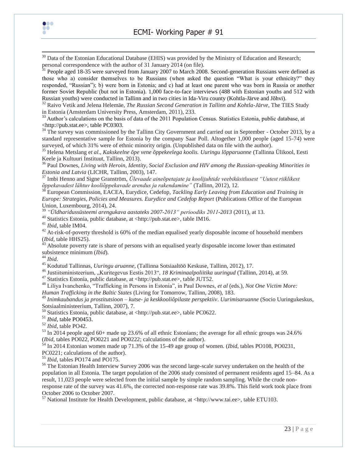



 $30$  Data of the Estonian Educational Database (EHIS) was provided by the Ministry of Education and Research; personal correspondence with the author of 31 January 2014 (on file).

<sup>31</sup> People aged 18-35 were surveyed from January 2007 to March 2008. Second-generation Russians were defined as those who a) consider themselves to be Russians (when asked the question "What is your ethnicity?" they responded, "Russian"); b) were born in Estonia; and c) had at least one parent who was born in Russia or another former Soviet Republic (but not in Estonia). 1,000 face-to-face interviews (488 with Estonian youths and 512 with Russian youths) were conducted in Tallinn and in two cities in Ida-Viru county (Kohtla-Järve and Jõhvi).

<sup>32</sup> Raivo Vetik and Jelena Helemäe, *The Russian Second Generation in Tallinn and Kohtla-Järve*, The TIES Study in Estonia (Amsterdam University Press, Amsterdam, 2011), 233.

 $33$  Author's calculations on the basis of data of the 2011 Population Census. Statistics Estonia, public database, at <http://pub.stat.ee>, table PC0303.

<sup>34</sup> The survey was commissioned by the Tallinn City Government and carried out in September - October 2013, by a standard representative sample for Estonia by the company Saar Poll. Altogether 1,000 people (aged 15-74) were surveyed, of which 31% were of ethnic minority origin. (Unpublished data on file with the author).

<sup>35</sup> Helena Metslang e*t al*., *Kakskeelne õpe vene õppekeelega koolis. Uuringu lõpparuanne* (Tallinna Ülikool, Eesti Keele ja Kultuuri Instituut, Tallinn, 2013).

<sup>36</sup> Paul Downes, *Living with Heroin, Identity, Social Exclusion and HIV among the Russian-speaking Minorities in Estonia and Latvia* (LICHR, Tallinn, 2003), 147.

<sup>37</sup> Imbi Henno and Signe Granström, *Ülevaade aineõpetajate ja koolijuhtide veebiküsitlusest "Uutest riiklikest õppekavadest lähtuv kooliõppekavade arendus ja rakendamine"* (Tallinn, 2012), 12.

<sup>38</sup> European Commission, EACEA, Eurydice, Cedefop, *Tackling Early Leaving from Education and Training in Europe: Strategies, Policies and Measures. Eurydice and Cedefop Report* (Publications Office of the European Union, Luxembourg, 2014), 24.

39 *"Üldharidussüsteemi arengukava aastateks 2007-2013" perioodiks 2011-2013* (2011), at 13.

<sup>40</sup> Statistics Estonia, public database, at <http://pub.stat.ee>, table IM16.

<sup>41</sup> *Ibid*, table IM04.

 $42$  At-risk-of-poverty threshold is 60% of the median equalised yearly disposable income of household members (*Ibid*, table HHS25).

 $43$  Absolute poverty rate is share of persons with an equalised yearly disposable income lower than estimated subsistence minimum (*Ibid*).

<sup>44</sup> *Ibid*.

<sup>45</sup> Kodutud Tallinnas, *Uuringu aruanne*, (Tallinna Sotsiaaltöö Keskuse, Tallinn, 2012), 17.

<sup>46</sup> Justiitsministeerium, "Kuritegevus Eestis 2013", *18 Kriminaalpoliitika uuringud* (Tallinn, 2014), at 59.

<sup>47</sup> Statistics Estonia, public database, at <http://pub.stat.ee>, table JUT52.

<sup>48</sup> Liliya Ivanchenko, "Trafficking in Persons in Estonia", in Paul Downes, *et al* (eds.), *Not One Victim More: Human Trafficking in the Baltic States* (Living for Tomorrow, Tallinn, 2008), 183.

<sup>49</sup> *Inimkaubandus ja prostitutsioon – kutse- ja keskkooliõpilaste perspektiiv*. *Uurimisaruanne* (Socio Uuringukeskus,

Sotsiaalministeerium, Tallinn, 2007), 7.

<sup>50</sup> Statistics Estonia, public database, at <http://pub.stat.ee>, table PC0622.

<sup>51</sup> *Ibid*, table PO0453.

<sup>52</sup> *Ibid*, table PO42.

<sup>53</sup> In 2014 people aged 60+ made up 23.6% of all ethnic Estonians; the average for all ethnic groups was 24.6% (*Ibid*, tables PO022, PO0221 and PO0222; calculations of the author).

<sup>54</sup> In 2014 Estonian women made up 71.3% of the 15-49 age group of women. (*Ibid*, tables PO108, PO0231,

PC0221; calculations of the author).

<sup>55</sup> *Ibid*, tables PO174 and PO175.

<sup>56</sup> The Estonian Health Interview Survey 2006 was the second large-scale survey undertaken on the health of the population in all Estonia. The target population of the 2006 study consisted of permanent residents aged 15–84. As a result, 11,023 people were selected from the initial sample by simple random sampling. While the crude nonresponse rate of the survey was 41.6%, the corrected non-response rate was 39.8%. This field work took place from October 2006 to October 2007.

<sup>57</sup> National Institute for Health Development, public database, at <http://www.tai.ee>, table ETU103.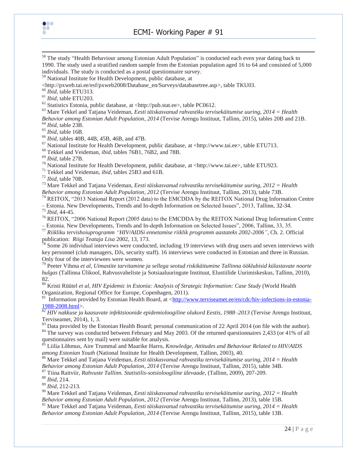

ECMI- Working Paper # 91

<sup>58</sup> The study "Health Behaviour among Estonian Adult Population" is conducted each even year dating back to 1990. The study used a stratified random sample from the Estonian population aged 16 to 64 and consisted of 5,000 individuals. The study is conducted as a postal questionnaire survey.

<sup>59</sup> National Institute for Health Development, public database, at

<http://pxweb.tai.ee/esf/pxweb2008/Database\_en/Surveys/databasetree.asp>, table TKU03.

<sup>60</sup> *Ibid,* table ETU313.

<sup>61</sup> *Ibid,* table ETU203.

<sup>62</sup> Statistics Estonia, public database, at <http://pub.stat.ee>, table PC0612.

<sup>63</sup> Mare Tekkel and Tatjana Veideman, *Eesti täiskasvanud rahvastiku tervisekäitumise uuring, 2014 = Health Behavior among Estonian Adult Population*, *2014* (Tervise Arengu Instituut, Tallinn, 2015), tables 20B and 21B. <sup>64</sup> *Ibid*, table 23B.

<sup>65</sup> *Ibid*, table 16B.

<sup>66</sup> *Ibid,* tables 40B, 44B, 45B, 46B, and 47B.

 $67$  National Institute for Health Development, public database, at <http://www.tai.ee>, table ETU713.

<sup>68</sup> Tekkel and Veideman, *ibid,* tables 76B1, 76B2, and 78B.

<sup>69</sup> *Ibid,* table 27B.

<sup>70</sup> National Institute for Health Development, public database, at <http://www.tai.ee>, table ETU923.

<sup>71</sup> Tekkel and Veideman, *ibid,* tables 25B3 and 61B.

<sup>72</sup> *Ibid,* table 70B.

<sup>73</sup> Mare Tekkel and Tatjana Veideman, *Eesti täiskasvanud rahvastiku tervisekäitumise uuring, 2012 = Health Behavior among Estonian Adult Population*, *2012* (Tervise Arengu Instituut, Tallinn, 2013), table 73B.

<sup>74</sup> REITOX, "2013 National Report (2012 data) to the EMCDDA by the REITOX National Drug Information Centre – Estonia. New Developments, Trends and In-depth Information on Selected Issues", 2013, Tallinn, 32-34.

<sup>75</sup> *Ibid*, 44-45.

<sup>76</sup> REITOX, "2006 National Report (2005 data) to the EMCDDA by the REITOX National Drug Information Centre – Estonia. New Developments, Trends and In-depth Information on Selected Issues", 2006, Tallinn, 33, 35.

<sup>77</sup> *Riikliku tervishoiuprogramm "HIV/AIDSi ennetamise riiklik programm aastateks 2002-2006"*, Ch. 2. Official publication: *Riigi Teataja Lisa* 2002, 13, 173.

 $\frac{78}{18}$  Some 26 individual interviews were conducted, including 19 interviews with drug users and seven interviews with key personnel (club managers, DJs, security staff). 16 interviews were conducted in Estonian and three in Russian. Only four of the interviewees were women.

<sup>79</sup> Peeter Vihma *et al*, *Uimastite tarvitamine ja sellega seotud riskikäitumine Tallinna ööklubisid külastavate noorte hulgas* (Tallinna Ülikool, Rahvusvaheliste ja Sotsiaaluuringute Instituut, Elustiilide Uurimiskeskus, Tallinn, 2010), 82.

<sup>80</sup> Kristi Rüütel *et al, HIV Epidemic in Estonia: Analysis of Strategic Information: Case Study* (World Health Organization, Regional Office for Europe, Copenhagen, 2011).

81 Information provided by Estonian Health Board, at [<http://www.terviseamet.ee/en/cdc/hiv-infections-in-estonia-](http://www.terviseamet.ee/en/cdc/hiv-infections-in-estonia-1988-2008.html)[1988-2008.html>](http://www.terviseamet.ee/en/cdc/hiv-infections-in-estonia-1988-2008.html).

<sup>82</sup> *HIV nakkuse ja kaasuvate infektsioonide epidemioloogiline olukord Eestis, 1988–2013* (Tervise Arengu Instituut, Terviseamet, 2014), 1, 3.

<sup>83</sup> Data provided by the Estonian Health Board; personal communication of 22 April 2014 (on file with the author).

<sup>84</sup> The survey was conducted between February and May 2003. Of the returned questionnaires 2,433 (or 41% of all questionnaires sent by mail) were suitable for analysis.

<sup>85</sup> Liilia Lõhmus, Aire Trummal and Maarike Harro, *Knowledge, Attitudes and Behaviour Related to HIV/AIDS among Estonian Youth* (National Institute for Health Development, Tallinn, 2003), 40.

<sup>86</sup> Mare Tekkel and Tatjana Veideman, *Eesti täiskasvanud rahvastiku tervisekäitumise uuring, 2014 = Health* 

*Behavior among Estonian Adult Population*, *2014* (Tervise Arengu Instituut, Tallinn, 2015)*,* table 34B.

<sup>87</sup> Tiina Raitviir, *Rahvuste Tallinn. Statistilis-sotsioloogiline ülevaade*, (Tallinn, 2009), 207-209.

<sup>88</sup> *Ibid*, 214.

<sup>89</sup> *Ibid,* 212-213.

<sup>90</sup> Mare Tekkel and Tatjana Veideman, *Eesti täiskasvanud rahvastiku tervisekäitumise uuring, 2012 = Health Behavior among Estonian Adult Population*, *2012* (Tervise Arengu Instituut, Tallinn, 2013), table 15B.

<sup>91</sup> Mare Tekkel and Tatjana Veideman, *Eesti täiskasvanud rahvastiku tervisekäitumise uuring, 2014 = Health Behavior among Estonian Adult Population*, *2014* (Tervise Arengu Instituut, Tallinn, 2015)*,* table 13B.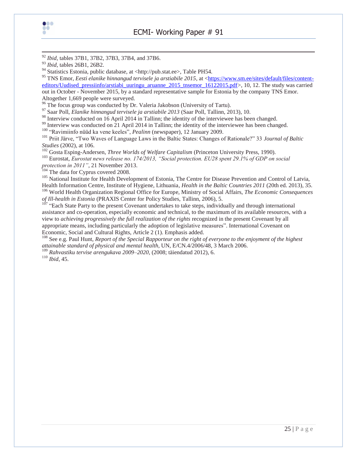

<sup>92</sup> *Ibid,* tables 37B1, 37B2, 37B3, 37B4, and 37B6.

94 Statistics Estonia, public database, at <http://pub.stat.ee>, Table PH54.

<sup>95</sup> TNS Emor, *Eesti elanike hinnangud tervisele ja arstiabile 2015*, at [<https://www.sm.ee/sites/default/files/content](https://www.sm.ee/sites/default/files/content-editors/Uudised_pressiinfo/arstiabi_uuringu_aruanne_2015_tnsemor_16122015.pdf)[editors/Uudised\\_pressiinfo/arstiabi\\_uuringu\\_aruanne\\_2015\\_tnsemor\\_16122015.pdf>](https://www.sm.ee/sites/default/files/content-editors/Uudised_pressiinfo/arstiabi_uuringu_aruanne_2015_tnsemor_16122015.pdf), 10, 12. The study was carried out in October - November 2015, by a standard representative sample for Estonia by the company TNS Emor. Altogether 1,669 people were surveyed.

<sup>96</sup> The focus group was conducted by Dr. Valeria Jakobson (University of Tartu).

<sup>97</sup> Saar Poll, *Elanike hinnangud tervisele ja arstiabile 2013* (Saar Poll, Tallinn, 2013), 10.

<sup>98</sup> Interview conducted on 16 April 2014 in Tallinn; the identity of the interviewee has been changed.

<sup>99</sup> Interview was conducted on 21 April 2014 in Tallinn; the identity of the interviewee has been changed.

<sup>100</sup> "Ravimiinfo nüüd ka vene keeles", *Pealinn* (newspaper), 12 January 2009.

<sup>101</sup> Priit Järve, "Two Waves of Language Laws in the Baltic States: Changes of Rationale?" 33 *Journal of Baltic Studies* (2002), at 106.

<sup>102</sup> Gosta Esping-Andersen, *Three Worlds of Welfare Capitalism* (Princeton University Press, 1990).

<sup>103</sup> Eurostat, *Eurostat news release no. 174/2013, "Social protection. EU28 spent 29.1% of GDP on social protection in 2011"*, 21 November 2013.

<sup>104</sup> The data for Cyprus covered 2008.

<sup>105</sup> National Institute for Health Development of Estonia, The Centre for Disease Prevention and Control of Latvia, Health Information Centre, Institute of Hygiene, Lithuania, *Health in the Baltic Countries 2011* (20th ed. 2013), 35. <sup>106</sup> World Health Organization Regional Office for Europe, Ministry of Social Affairs, *The Economic Consequences of Ill-health in Estonia* (PRAXIS Center for Policy Studies, Tallinn, 2006), 5.

<sup>107</sup> "Each State Party to the present Covenant undertakes to take steps, individually and through international assistance and co-operation, especially economic and technical, to the maximum of its available resources, with a view to *achieving progressively the full realization of the rights* recognized in the present Covenant by all appropriate means, including particularly the adoption of legislative measures". International Covenant on Economic, Social and Cultural Rights, Article 2 (1). Emphasis added.

<sup>108</sup> See e.g. Paul Hunt, *Report of the Special Rapporteur on the right of everyone to the enjoyment of the highest attainable standard of physical and mental health*, UN, E/CN.4/2006/48, 3 March 2006.

<sup>109</sup> *Rahvastiku tervise arengukava 2009–2020*, (2008; täiendatud 2012), 6.

<sup>110</sup> *Ibid*, 45.

<sup>93</sup> *Ibid,* tables 26B1, 26B2.